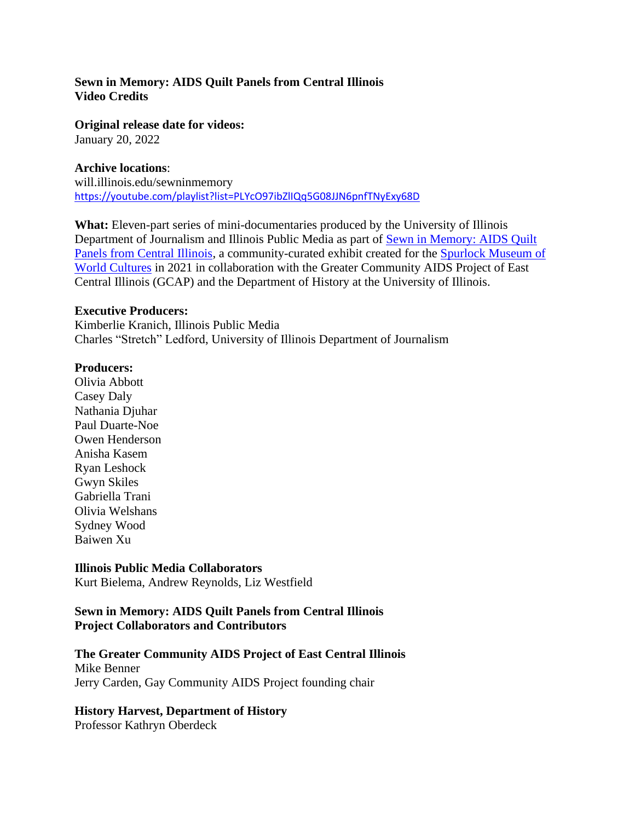# **Sewn in Memory: AIDS Quilt Panels from Central Illinois Video Credits**

**Original release date for videos:**

January 20, 2022

### **Archive locations**:

will.illinois.edu/sewninmemory <https://youtube.com/playlist?list=PLYcO97ibZlIQq5G08JJN6pnfTNyExy68D>

**What:** Eleven-part series of mini-documentaries produced by the University of Illinois Department of Journalism and Illinois Public Media as part of Sewn in Memory: AIDS Quilt [Panels from Central Illinois,](https://www.spurlock.illinois.edu/exhibits/profiles/sewn-in-memory.html) a community-curated exhibit created for the [Spurlock Museum of](https://www.spurlock.illinois.edu/exhibits/profiles/sewn-in-memory.html)  [World Cultures](https://www.spurlock.illinois.edu/exhibits/profiles/sewn-in-memory.html) in 2021 in collaboration with the Greater Community AIDS Project of East Central Illinois (GCAP) and the Department of History at the University of Illinois.

#### **Executive Producers:**

Kimberlie Kranich, Illinois Public Media Charles "Stretch" Ledford, University of Illinois Department of Journalism

### **Producers:**

Olivia Abbott Casey Daly Nathania Djuhar Paul Duarte-Noe Owen Henderson Anisha Kasem Ryan Leshock Gwyn Skiles Gabriella Trani Olivia Welshans Sydney Wood Baiwen Xu

### **Illinois Public Media Collaborators**

Kurt Bielema, Andrew Reynolds, Liz Westfield

### **Sewn in Memory: AIDS Quilt Panels from Central Illinois Project Collaborators and Contributors**

### **The Greater Community AIDS Project of East Central Illinois**

Mike Benner Jerry Carden, Gay Community AIDS Project founding chair

### **History Harvest, Department of History**

Professor Kathryn Oberdeck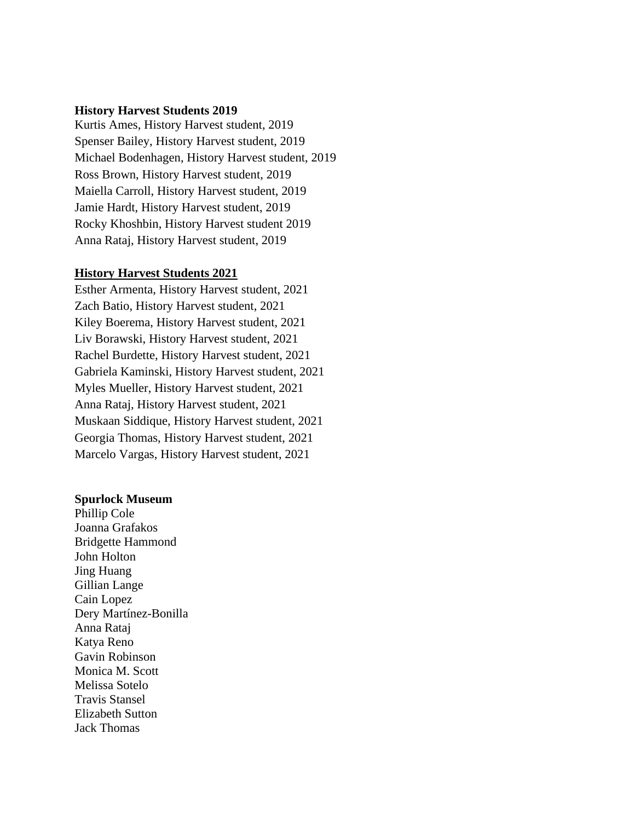#### **History Harvest Students 2019**

Kurtis Ames, History Harvest student, 2019 Spenser Bailey, History Harvest student, 2019 Michael Bodenhagen, History Harvest student, 2019 Ross Brown, History Harvest student, 2019 Maiella Carroll, History Harvest student, 2019 Jamie Hardt, History Harvest student, 2019 Rocky Khoshbin, History Harvest student 2019 Anna Rataj, History Harvest student, 2019

#### **History Harvest Students 2021**

Esther Armenta, History Harvest student, 2021 Zach Batio, History Harvest student, 2021 Kiley Boerema, History Harvest student, 2021 Liv Borawski, History Harvest student, 2021 Rachel Burdette, History Harvest student, 2021 Gabriela Kaminski, History Harvest student, 2021 Myles Mueller, History Harvest student, 2021 Anna Rataj, History Harvest student, 2021 Muskaan Siddique, History Harvest student, 2021 Georgia Thomas, History Harvest student, 2021 Marcelo Vargas, History Harvest student, 2021

#### **Spurlock Museum**

Phillip Cole Joanna Grafakos Bridgette Hammond John Holton Jing Huang Gillian Lange Cain Lopez Dery Martínez-Bonilla Anna Rataj Katya Reno Gavin Robinson Monica M. Scott Melissa Sotelo Travis Stansel Elizabeth Sutton Jack Thomas